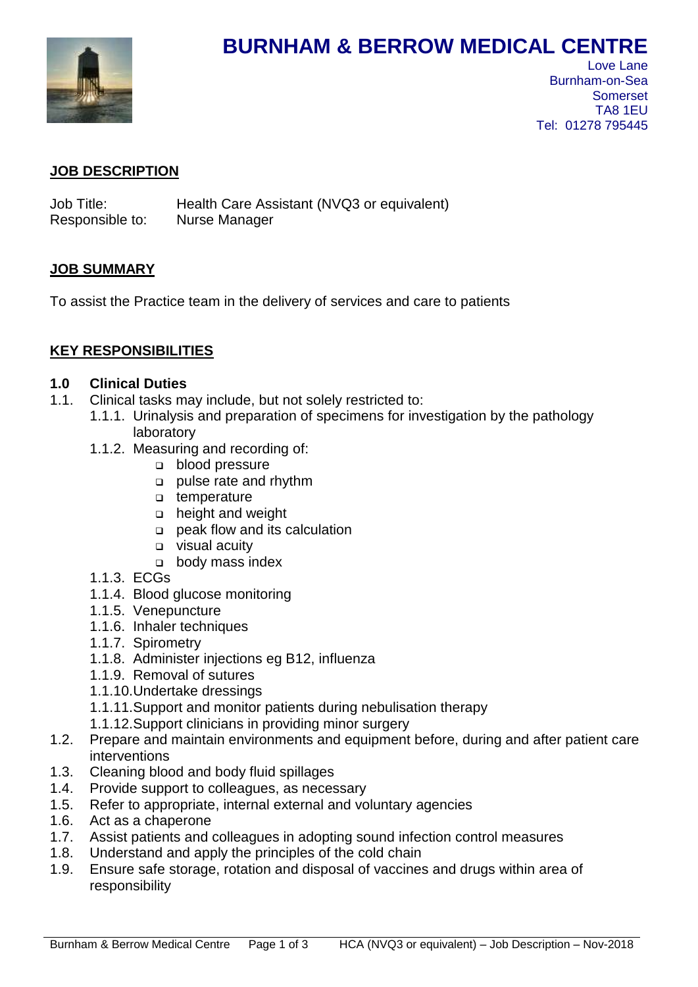

# **BURNHAM & BERROW MEDICAL CENTRE**

 Love Lane Burnham-on-Sea Somerset TA8 1EU Tel: 01278 795445

## **JOB DESCRIPTION**

Job Title: Health Care Assistant (NVQ3 or equivalent) Responsible to: Nurse Manager

## **JOB SUMMARY**

To assist the Practice team in the delivery of services and care to patients

# **KEY RESPONSIBILITIES**

## **1.0 Clinical Duties**

- 1.1. Clinical tasks may include, but not solely restricted to:
	- 1.1.1. Urinalysis and preparation of specimens for investigation by the pathology laboratory
	- 1.1.2. Measuring and recording of:
		- **blood pressure**
		- pulse rate and rhythm
		- □ temperature
		- height and weight
		- peak flow and its calculation
		- visual acuity
		- o body mass index
	- 1.1.3. ECGs
	- 1.1.4. Blood glucose monitoring
	- 1.1.5. Venepuncture
	- 1.1.6. Inhaler techniques
	- 1.1.7. Spirometry
	- 1.1.8. Administer injections eg B12, influenza
	- 1.1.9. Removal of sutures
	- 1.1.10.Undertake dressings
	- 1.1.11.Support and monitor patients during nebulisation therapy
	- 1.1.12.Support clinicians in providing minor surgery
- 1.2. Prepare and maintain environments and equipment before, during and after patient care interventions
- 1.3. Cleaning blood and body fluid spillages
- 1.4. Provide support to colleagues, as necessary
- 1.5. Refer to appropriate, internal external and voluntary agencies
- 1.6. Act as a chaperone
- 1.7. Assist patients and colleagues in adopting sound infection control measures
- 1.8. Understand and apply the principles of the cold chain
- 1.9. Ensure safe storage, rotation and disposal of vaccines and drugs within area of responsibility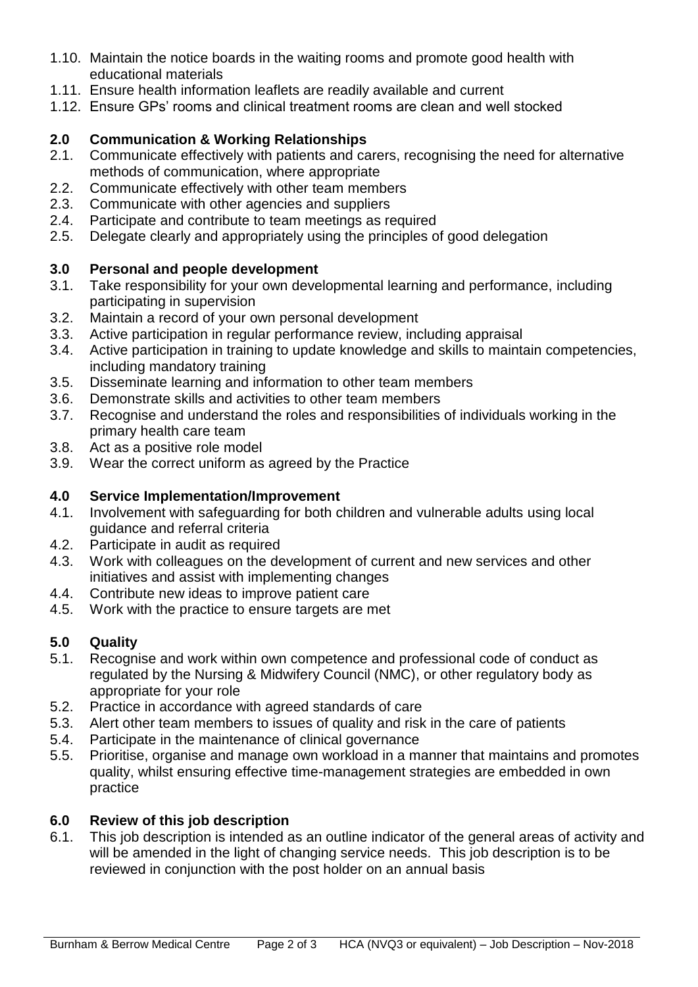- 1.10. Maintain the notice boards in the waiting rooms and promote good health with educational materials
- 1.11. Ensure health information leaflets are readily available and current
- 1.12. Ensure GPs' rooms and clinical treatment rooms are clean and well stocked

# **2.0 Communication & Working Relationships**

- 2.1. Communicate effectively with patients and carers, recognising the need for alternative methods of communication, where appropriate
- 2.2. Communicate effectively with other team members
- 2.3. Communicate with other agencies and suppliers
- 2.4. Participate and contribute to team meetings as required
- 2.5. Delegate clearly and appropriately using the principles of good delegation

# **3.0 Personal and people development**

- 3.1. Take responsibility for your own developmental learning and performance, including participating in supervision
- 3.2. Maintain a record of your own personal development
- 3.3. Active participation in regular performance review, including appraisal
- 3.4. Active participation in training to update knowledge and skills to maintain competencies, including mandatory training
- 3.5. Disseminate learning and information to other team members
- 3.6. Demonstrate skills and activities to other team members
- 3.7. Recognise and understand the roles and responsibilities of individuals working in the primary health care team
- 3.8. Act as a positive role model
- 3.9. Wear the correct uniform as agreed by the Practice

# **4.0 Service Implementation/Improvement**

- 4.1. Involvement with safeguarding for both children and vulnerable adults using local guidance and referral criteria
- 4.2. Participate in audit as required
- 4.3. Work with colleagues on the development of current and new services and other initiatives and assist with implementing changes
- 4.4. Contribute new ideas to improve patient care
- 4.5. Work with the practice to ensure targets are met

# **5.0 Quality**

- 5.1. Recognise and work within own competence and professional code of conduct as regulated by the Nursing & Midwifery Council (NMC), or other regulatory body as appropriate for your role
- 5.2. Practice in accordance with agreed standards of care
- 5.3. Alert other team members to issues of quality and risk in the care of patients
- 5.4. Participate in the maintenance of clinical governance
- 5.5. Prioritise, organise and manage own workload in a manner that maintains and promotes quality, whilst ensuring effective time-management strategies are embedded in own practice

# **6.0 Review of this job description**

6.1. This job description is intended as an outline indicator of the general areas of activity and will be amended in the light of changing service needs. This job description is to be reviewed in conjunction with the post holder on an annual basis